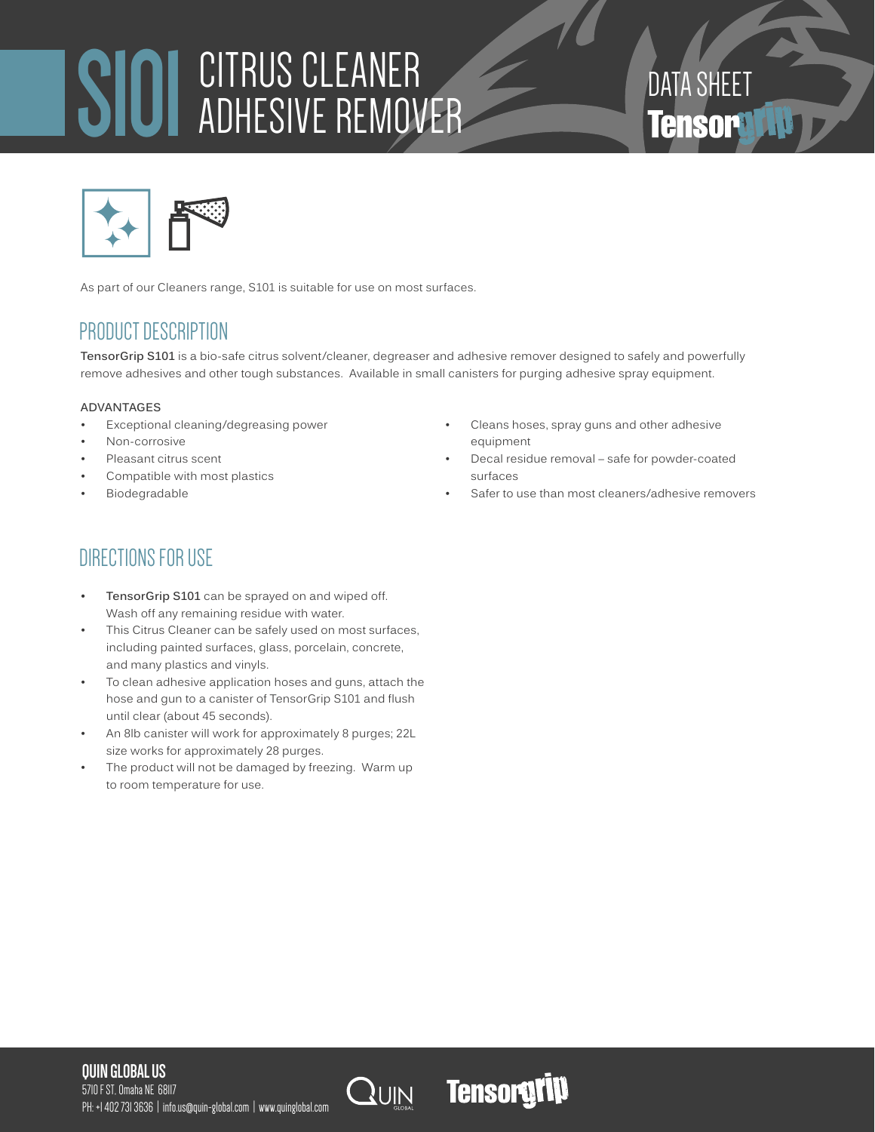# S101 CITRUS CLEANER ADHESIVE REMOVER

# DATA SHEET **Tensory**



As part of our Cleaners range, S101 is suitable for use on most surfaces.

# PRODUCT DESCRIPTION

**TensorGrip S101** is a bio-safe citrus solvent/cleaner, degreaser and adhesive remover designed to safely and powerfully remove adhesives and other tough substances. Available in small canisters for purging adhesive spray equipment.

# **ADVANTAGES**

- Exceptional cleaning/degreasing power
- Non-corrosive
- Pleasant citrus scent
- Compatible with most plastics
- **Biodegradable**
- Cleans hoses, spray guns and other adhesive equipment
- Decal residue removal safe for powder-coated surfaces
- Safer to use than most cleaners/adhesive removers

# DIRECTIONS FOR USE

- **• TensorGrip S101** can be sprayed on and wiped off. Wash off any remaining residue with water.
- This Citrus Cleaner can be safely used on most surfaces, including painted surfaces, glass, porcelain, concrete, and many plastics and vinyls.
- To clean adhesive application hoses and guns, attach the hose and gun to a canister of TensorGrip S101 and flush until clear (about 45 seconds).
- An 8lb canister will work for approximately 8 purges; 22L size works for approximately 28 purges.
- The product will not be damaged by freezing. Warm up to room temperature for use.

# **QUIN GLOBAL US**

5710 F ST, Omaha NE 68117 PH: +1 402 731 3636 | info.us@quin-global.com | www.quinglobal.com



**Tensorgrip**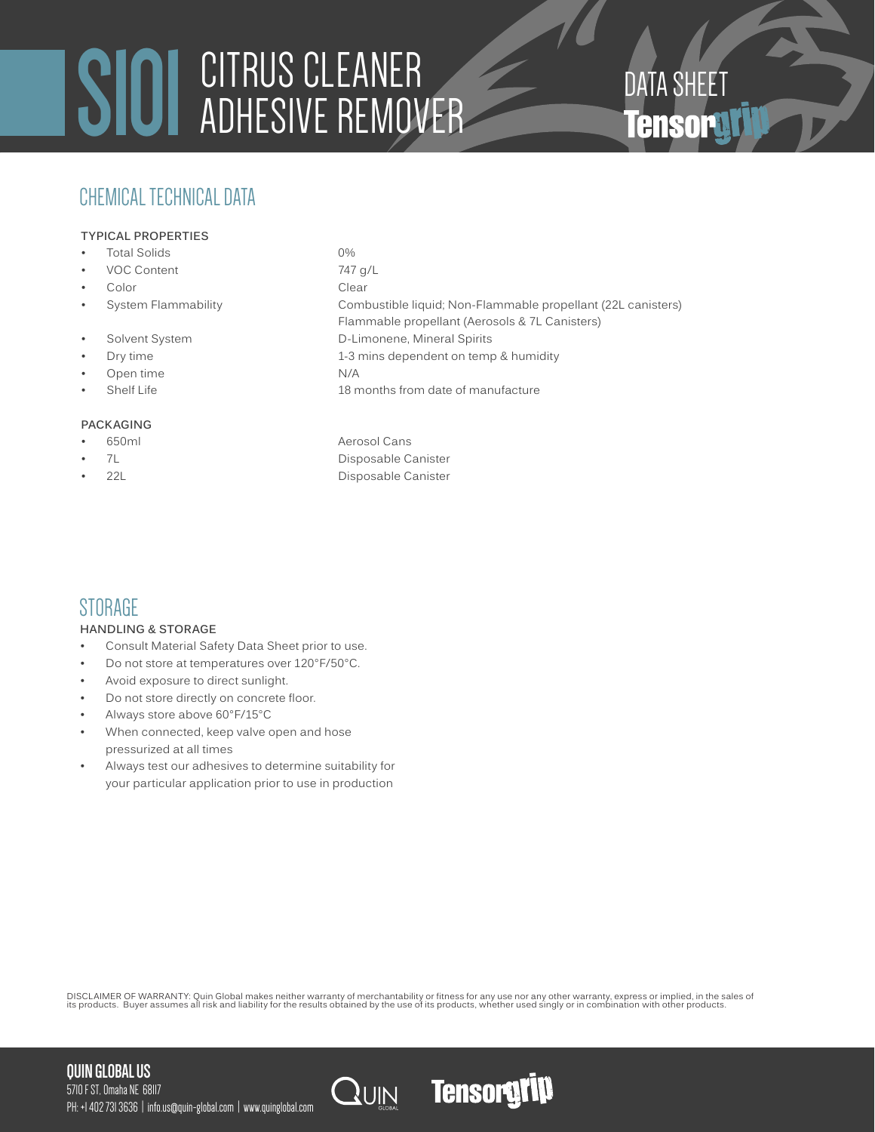# SIOI CITRUS CLEANER<br>DATA SHEET ADHESIVE REMOVER ADHESIVE REMOVER

# CHEMICAL TECHNICAL DATA

# **TYPICAL PROPERTIES**

- Total Solids 0%
- VOC Content 747 g/L
- Color Clear
- 
- 
- 
- Open time N/A
- 

# **PACKAGING**

- 
- 
- 

• System Flammability Combustible liquid; Non-Flammable propellant (22L canisters) Flammable propellant (Aerosols & 7L Canisters) • Solvent System D-Limonene, Mineral Spirits **Dry time** 1-3 mins dependent on temp & humidity • Shelf Life 18 months from date of manufacture

• 650ml Aerosol Cans 7L Disposable Canister • 22L Disposable Canister

# **STORAGE**

# **HANDLING & STORAGE**

- Consult Material Safety Data Sheet prior to use.
- Do not store at temperatures over 120°F/50°C.
- Avoid exposure to direct sunlight.
- Do not store directly on concrete floor.
- Always store above 60°F/15°C
- When connected, keep valve open and hose pressurized at all times
- Always test our adhesives to determine suitability for your particular application prior to use in production

DISCLAIMER OF WARRANTY: Quin Global makes neither warranty of merchantability or fitness for any use nor any other warranty, express or implied, in the sales of<br>its products. Buyer assumes all risk and liability for the r

# **QUIN GLOBAL US**



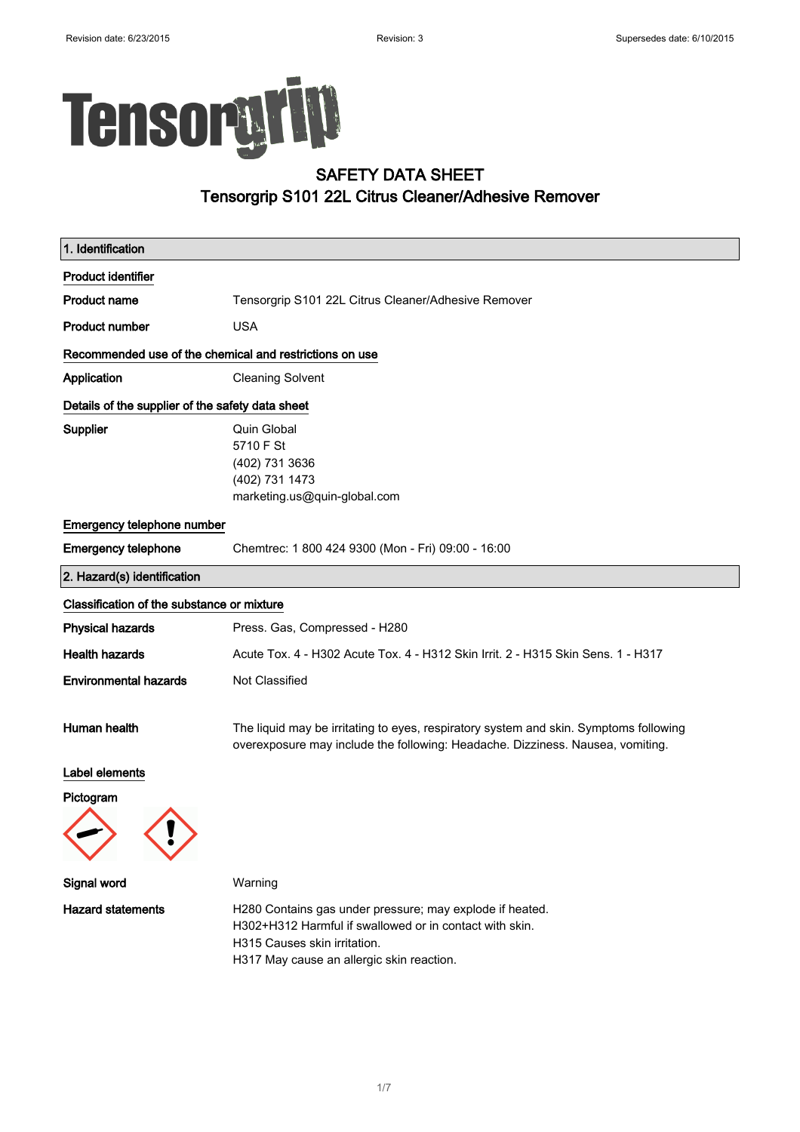# TensoryTip

# SAFETY DATA SHEET Tensorgrip S101 22L Citrus Cleaner/Adhesive Remover

| 1. Identification                                       |                                                                                                                                                                                                  |  |
|---------------------------------------------------------|--------------------------------------------------------------------------------------------------------------------------------------------------------------------------------------------------|--|
| <b>Product identifier</b>                               |                                                                                                                                                                                                  |  |
| <b>Product name</b>                                     | Tensorgrip S101 22L Citrus Cleaner/Adhesive Remover                                                                                                                                              |  |
| <b>Product number</b>                                   | <b>USA</b>                                                                                                                                                                                       |  |
| Recommended use of the chemical and restrictions on use |                                                                                                                                                                                                  |  |
| Application                                             | <b>Cleaning Solvent</b>                                                                                                                                                                          |  |
| Details of the supplier of the safety data sheet        |                                                                                                                                                                                                  |  |
| Supplier                                                | Quin Global<br>5710 F St<br>(402) 731 3636<br>(402) 731 1473<br>marketing.us@quin-global.com                                                                                                     |  |
| Emergency telephone number                              |                                                                                                                                                                                                  |  |
| <b>Emergency telephone</b>                              | Chemtrec: 1 800 424 9300 (Mon - Fri) 09:00 - 16:00                                                                                                                                               |  |
| 2. Hazard(s) identification                             |                                                                                                                                                                                                  |  |
| Classification of the substance or mixture              |                                                                                                                                                                                                  |  |
| <b>Physical hazards</b>                                 | Press. Gas, Compressed - H280                                                                                                                                                                    |  |
| <b>Health hazards</b>                                   | Acute Tox. 4 - H302 Acute Tox. 4 - H312 Skin Irrit. 2 - H315 Skin Sens. 1 - H317                                                                                                                 |  |
| <b>Environmental hazards</b>                            | Not Classified                                                                                                                                                                                   |  |
| Human health                                            | The liquid may be irritating to eyes, respiratory system and skin. Symptoms following<br>overexposure may include the following: Headache. Dizziness. Nausea, vomiting.                          |  |
| Label elements                                          |                                                                                                                                                                                                  |  |
| Pictogram                                               |                                                                                                                                                                                                  |  |
| Signal word                                             | Warning                                                                                                                                                                                          |  |
| <b>Hazard statements</b>                                | H280 Contains gas under pressure; may explode if heated.<br>H302+H312 Harmful if swallowed or in contact with skin.<br>H315 Causes skin irritation.<br>H317 May cause an allergic skin reaction. |  |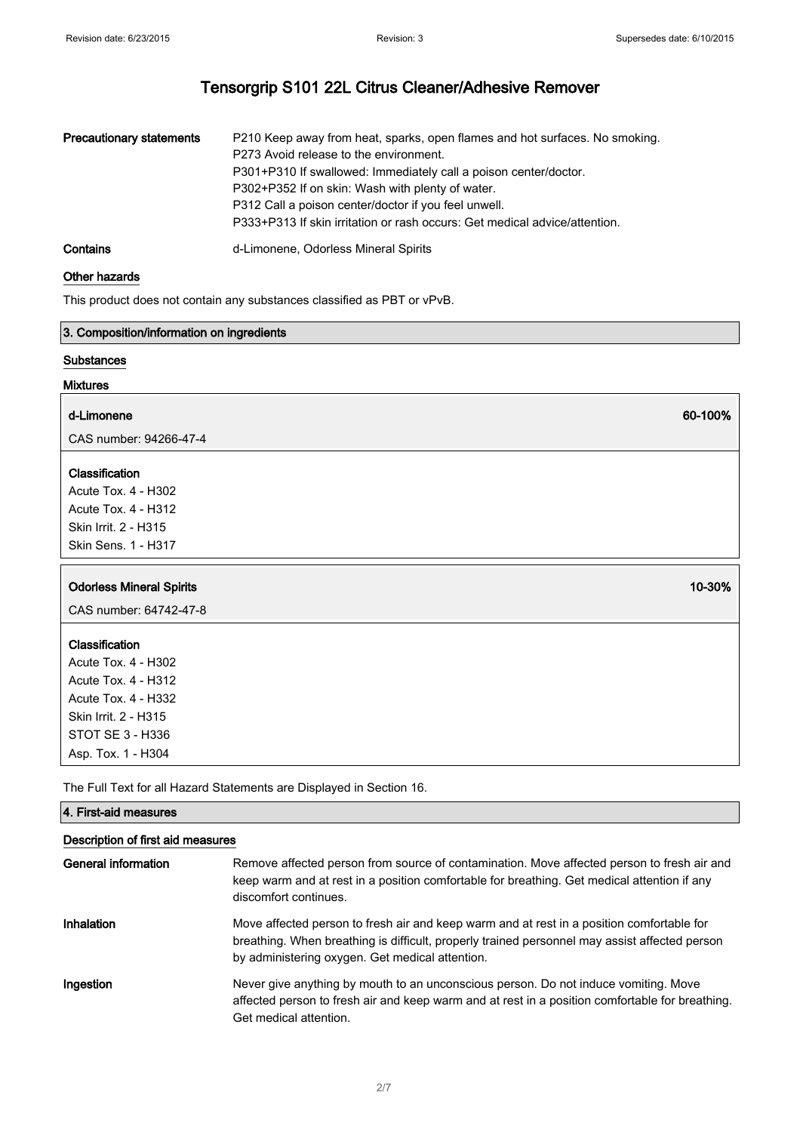| <b>Precautionary statements</b> | P210 Keep away from heat, sparks, open flames and hot surfaces. No smoking.<br>P273 Avoid release to the environment.<br>P301+P310 If swallowed: Immediately call a poison center/doctor.<br>P302+P352 If on skin: Wash with plenty of water.<br>P312 Call a poison center/doctor if you feel unwell. |
|---------------------------------|-------------------------------------------------------------------------------------------------------------------------------------------------------------------------------------------------------------------------------------------------------------------------------------------------------|
|                                 | P333+P313 If skin irritation or rash occurs: Get medical advice/attention.                                                                                                                                                                                                                            |
| Contains                        | d-Limonene, Odorless Mineral Spirits                                                                                                                                                                                                                                                                  |

### Other hazards

This product does not contain any substances classified as PBT or vPvB.

#### 3. Composition/information on ingredients

### **Substances**

#### Mixtures

# d-Limonene 60-100% and the second second second second second second second second second second second second

CAS number: 94266-47-4

# Classification

Acute Tox. 4 - H302 Acute Tox. 4 - H312 Skin Irrit. 2 - H315 Skin Sens. 1 - H317

# Odorless Mineral Spirits 10-30%

CAS number: 64742-47-8

# Classification

Acute Tox. 4 - H302 Acute Tox. 4 - H312 Acute Tox. 4 - H332 Skin Irrit. 2 - H315 STOT SE 3 - H336 Asp. Tox. 1 - H304

The Full Text for all Hazard Statements are Displayed in Section 16.

# 4. First-aid measures Description of first aid measures General information Remove affected person from source of contamination. Move affected person to fresh air and keep warm and at rest in a position comfortable for breathing. Get medical attention if any discomfort continues. Inhalation Move affected person to fresh air and keep warm and at rest in a position comfortable for breathing. When breathing is difficult, properly trained personnel may assist affected person by administering oxygen. Get medical attention. Ingestion **Never give anything by mouth to an unconscious person**. Do not induce vomiting. Move affected person to fresh air and keep warm and at rest in a position comfortable for breathing. Get medical attention.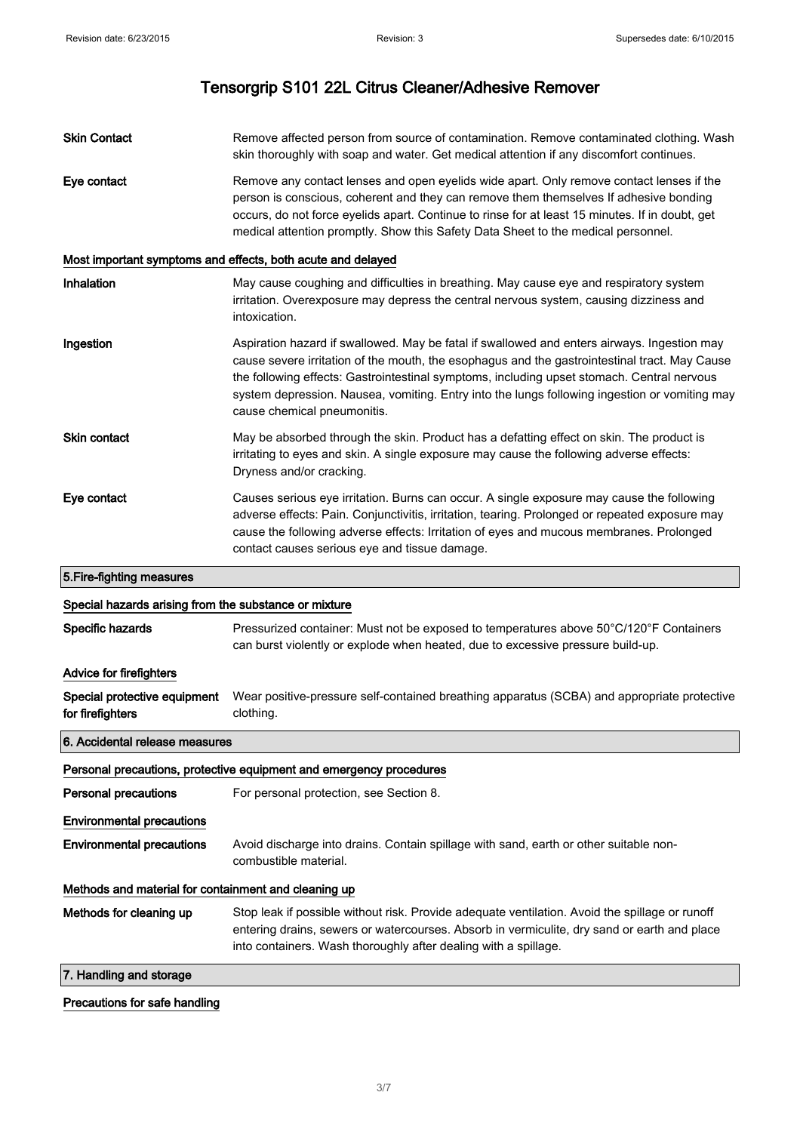Skin Contact **Remove affected person from source of contamination**. Remove contaminated clothing. Wash skin thoroughly with soap and water. Get medical attention if any discomfort continues. Eye contact **Remove any contact lenses and open eyelids wide apart.** Only remove contact lenses if the person is conscious, coherent and they can remove them themselves If adhesive bonding occurs, do not force eyelids apart. Continue to rinse for at least 15 minutes. If in doubt, get medical attention promptly. Show this Safety Data Sheet to the medical personnel. Most important symptoms and effects, both acute and delayed Inhalation **May cause coughing and difficulties in breathing**. May cause eye and respiratory system irritation. Overexposure may depress the central nervous system, causing dizziness and intoxication. Ingestion **Aspiration hazard if swallowed.** May be fatal if swallowed and enters airways. Ingestion may cause severe irritation of the mouth, the esophagus and the gastrointestinal tract. May Cause the following effects: Gastrointestinal symptoms, including upset stomach. Central nervous system depression. Nausea, vomiting. Entry into the lungs following ingestion or vomiting may cause chemical pneumonitis. **Skin contact** May be absorbed through the skin. Product has a defatting effect on skin. The product is irritating to eyes and skin. A single exposure may cause the following adverse effects: Dryness and/or cracking. Eye contact Causes serious eye irritation. Burns can occur. A single exposure may cause the following adverse effects: Pain. Conjunctivitis, irritation, tearing. Prolonged or repeated exposure may cause the following adverse effects: Irritation of eyes and mucous membranes. Prolonged contact causes serious eye and tissue damage. 5.Fire-fighting measures Special hazards arising from the substance or mixture Specific hazards **Pressurized container:** Must not be exposed to temperatures above 50°C/120°F Containers can burst violently or explode when heated, due to excessive pressure build-up. Advice for firefighters Special protective equipment for firefighters Wear positive-pressure self-contained breathing apparatus (SCBA) and appropriate protective clothing. 6. Accidental release measures

Personal precautions, protective equipment and emergency procedures

| <b>Personal precautions</b>                          | For personal protection, see Section 8.                                                                                                                                                       |
|------------------------------------------------------|-----------------------------------------------------------------------------------------------------------------------------------------------------------------------------------------------|
| <b>Environmental precautions</b>                     |                                                                                                                                                                                               |
| <b>Environmental precautions</b>                     | Avoid discharge into drains. Contain spillage with sand, earth or other suitable non-<br>combustible material.                                                                                |
| Methods and material for containment and cleaning up |                                                                                                                                                                                               |
| Methods for cleaning up                              | Stop leak if possible without risk. Provide adequate ventilation. Avoid the spillage or runoff<br>entering drains, sewers or watercourses. Absorb in vermiculite, dry sand or earth and place |

into containers. Wash thoroughly after dealing with a spillage.

7. Handling and storage

#### Precautions for safe handling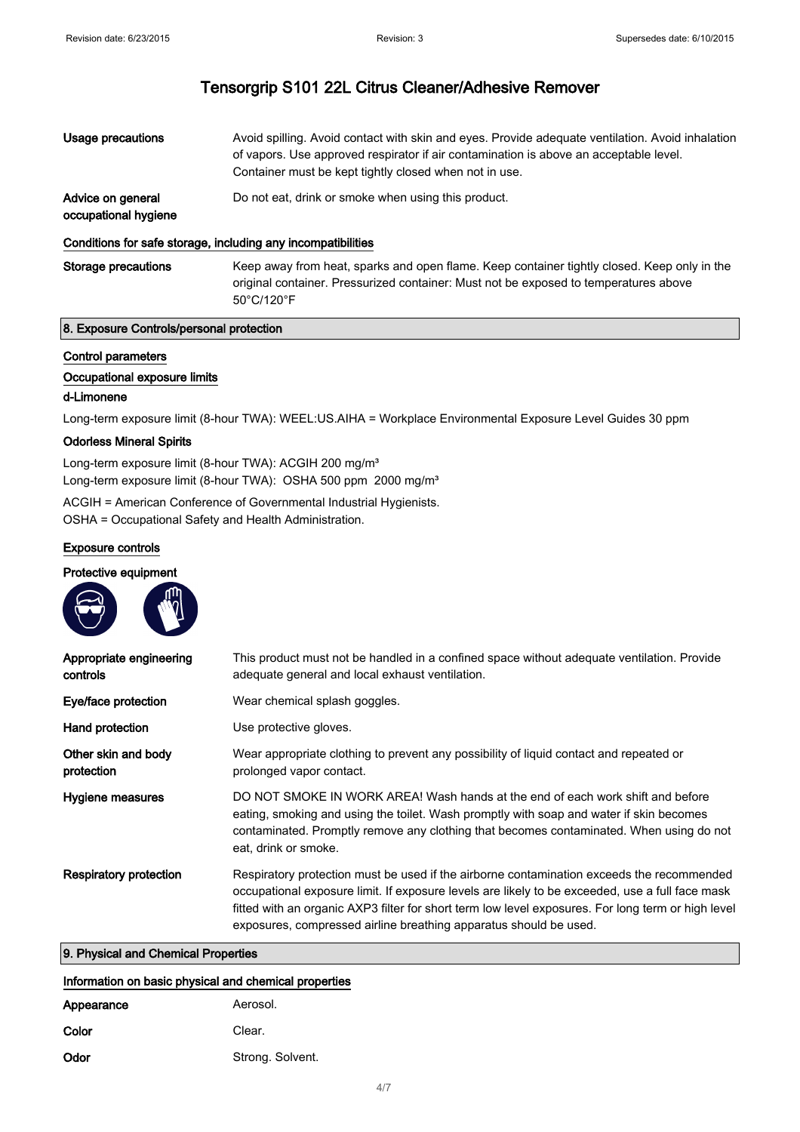Usage precautions **Avoid spilling. Avoid contact with skin and eyes. Provide adequate ventilation. Avoid inhalation** of vapors. Use approved respirator if air contamination is above an acceptable level. Container must be kept tightly closed when not in use. Advice on general Do not eat, drink or smoke when using this product.

#### Conditions for safe storage, including any incompatibilities

Storage precautions Keep away from heat, sparks and open flame. Keep container tightly closed. Keep only in the original container. Pressurized container: Must not be exposed to temperatures above 50°C/120°F

#### 8. Exposure Controls/personal protection

 $\mathbf{m}$ 

### Control parameters

occupational hygiene

#### Occupational exposure limits

#### d-Limonene

Long-term exposure limit (8-hour TWA): WEEL:US.AIHA = Workplace Environmental Exposure Level Guides 30 ppm

#### Odorless Mineral Spirits

Long-term exposure limit (8-hour TWA): ACGIH 200 mg/m<sup>3</sup> Long-term exposure limit (8-hour TWA): OSHA 500 ppm 2000 mg/m<sup>3</sup>

ACGIH = American Conference of Governmental Industrial Hygienists. OSHA = Occupational Safety and Health Administration.

# Exposure controls

**Contract Contract Contract** 

#### Protective equipment

| Appropriate engineering<br>controls | This product must not be handled in a confined space without adequate ventilation. Provide<br>adequate general and local exhaust ventilation.                                                                                                                                                                                                                           |
|-------------------------------------|-------------------------------------------------------------------------------------------------------------------------------------------------------------------------------------------------------------------------------------------------------------------------------------------------------------------------------------------------------------------------|
| Eye/face protection                 | Wear chemical splash goggles.                                                                                                                                                                                                                                                                                                                                           |
| Hand protection                     | Use protective gloves.                                                                                                                                                                                                                                                                                                                                                  |
| Other skin and body<br>protection   | Wear appropriate clothing to prevent any possibility of liquid contact and repeated or<br>prolonged vapor contact.                                                                                                                                                                                                                                                      |
| Hygiene measures                    | DO NOT SMOKE IN WORK AREA! Wash hands at the end of each work shift and before<br>eating, smoking and using the toilet. Wash promptly with soap and water if skin becomes<br>contaminated. Promptly remove any clothing that becomes contaminated. When using do not<br>eat, drink or smoke.                                                                            |
| Respiratory protection              | Respiratory protection must be used if the airborne contamination exceeds the recommended<br>occupational exposure limit. If exposure levels are likely to be exceeded, use a full face mask<br>fitted with an organic AXP3 filter for short term low level exposures. For long term or high level<br>exposures, compressed airline breathing apparatus should be used. |

### 9. Physical and Chemical Properties

#### Information on basic physical and chemical properties

| Appearance | Aerosol.         |
|------------|------------------|
| Color      | Clear.           |
| Odor       | Strong. Solvent. |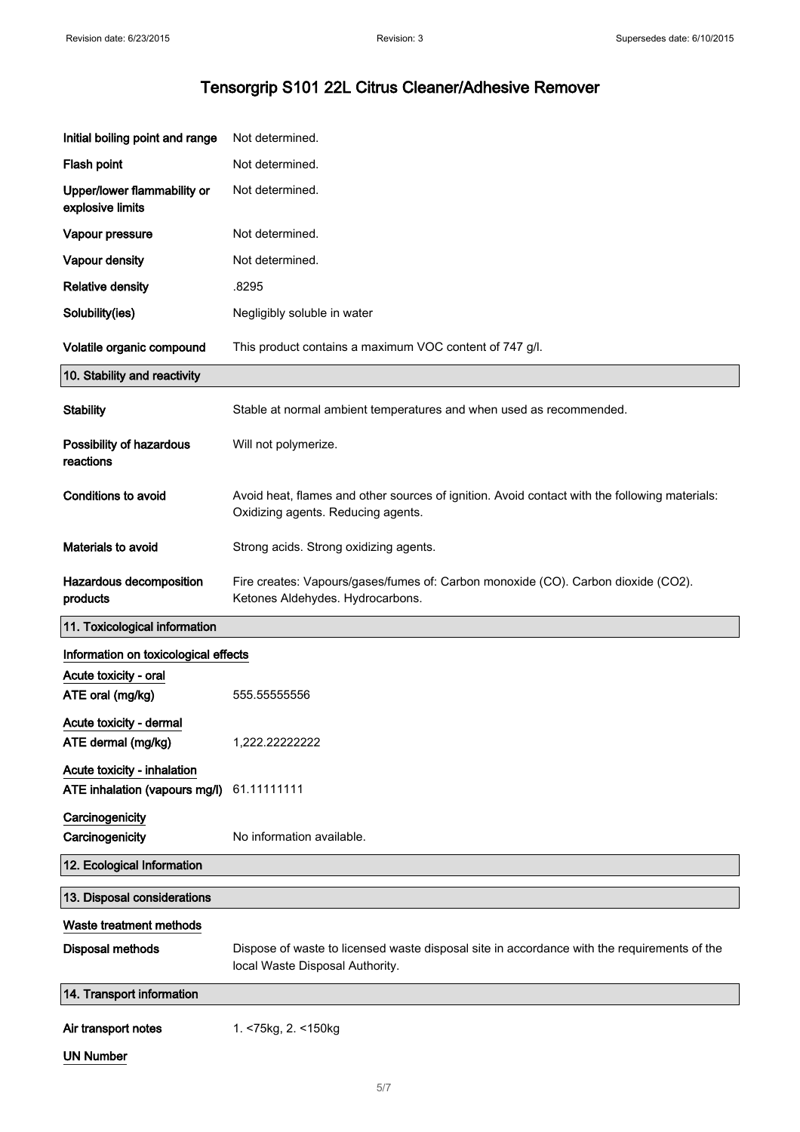| Initial boiling point and range                 | Not determined.                                                                                                                     |
|-------------------------------------------------|-------------------------------------------------------------------------------------------------------------------------------------|
| Flash point                                     | Not determined.                                                                                                                     |
| Upper/lower flammability or<br>explosive limits | Not determined.                                                                                                                     |
| Vapour pressure                                 | Not determined.                                                                                                                     |
| Vapour density                                  | Not determined.                                                                                                                     |
| <b>Relative density</b>                         | .8295                                                                                                                               |
| Solubility(ies)                                 | Negligibly soluble in water                                                                                                         |
| Volatile organic compound                       | This product contains a maximum VOC content of 747 g/l.                                                                             |
| 10. Stability and reactivity                    |                                                                                                                                     |
| <b>Stability</b>                                | Stable at normal ambient temperatures and when used as recommended.                                                                 |
| Possibility of hazardous<br>reactions           | Will not polymerize.                                                                                                                |
| <b>Conditions to avoid</b>                      | Avoid heat, flames and other sources of ignition. Avoid contact with the following materials:<br>Oxidizing agents. Reducing agents. |
| Materials to avoid                              | Strong acids. Strong oxidizing agents.                                                                                              |
| Hazardous decomposition<br>products             | Fire creates: Vapours/gases/fumes of: Carbon monoxide (CO). Carbon dioxide (CO2).<br>Ketones Aldehydes. Hydrocarbons.               |
|                                                 |                                                                                                                                     |
| 11. Toxicological information                   |                                                                                                                                     |
| Information on toxicological effects            |                                                                                                                                     |
| Acute toxicity - oral                           |                                                                                                                                     |
| ATE oral (mg/kg)                                | 555.5555556                                                                                                                         |
| Acute toxicity - dermal<br>ATE dermal (mg/kg)   | 1,222.22222222                                                                                                                      |
| Acute toxicity - inhalation                     |                                                                                                                                     |
| ATE inhalation (vapours mg/l)                   | 61.11111111                                                                                                                         |
| Carcinogenicity<br>Carcinogenicity              | No information available.                                                                                                           |
| 12. Ecological Information                      |                                                                                                                                     |
| 13. Disposal considerations                     |                                                                                                                                     |
| Waste treatment methods                         |                                                                                                                                     |
| <b>Disposal methods</b>                         | Dispose of waste to licensed waste disposal site in accordance with the requirements of the<br>local Waste Disposal Authority.      |
| 14. Transport information                       |                                                                                                                                     |
| Air transport notes                             | 1. <75kg, 2. <150kg                                                                                                                 |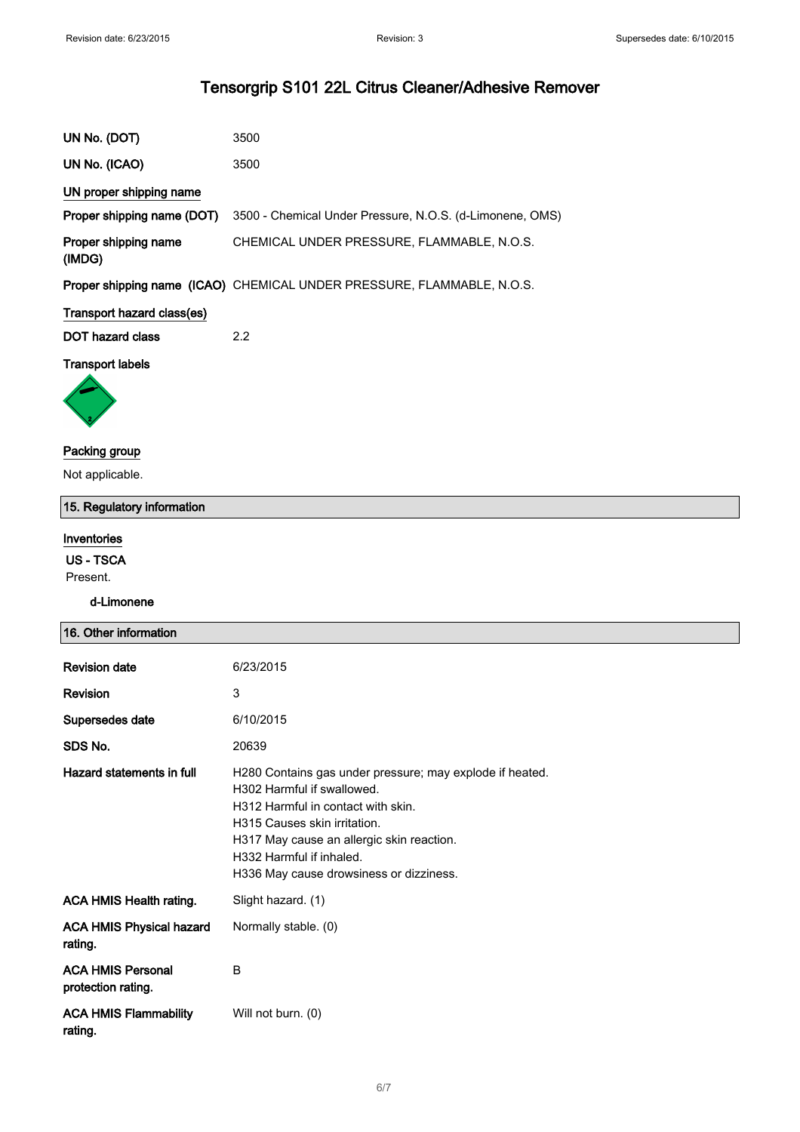| UN No. (DOT)                   | 3500                                                                   |
|--------------------------------|------------------------------------------------------------------------|
| UN No. (ICAO)                  | 3500                                                                   |
| UN proper shipping name        |                                                                        |
| Proper shipping name (DOT)     | 3500 - Chemical Under Pressure, N.O.S. (d-Limonene, OMS)               |
| Proper shipping name<br>(IMDG) | CHEMICAL UNDER PRESSURE, FLAMMABLE, N.O.S.                             |
|                                | Proper shipping name (ICAO) CHEMICAL UNDER PRESSURE, FLAMMABLE, N.O.S. |
| Transport hazard class(es)     |                                                                        |
| <b>DOT hazard class</b>        | 2.2                                                                    |
| <b>Transport labels</b>        |                                                                        |

# Packing group

Not applicable.

# 15. Regulatory information

# Inventories

US - TSCA

Present.

# d-Limonene

| 16. Other information                                      |                                                                                                                                                                                                                                                                                  |
|------------------------------------------------------------|----------------------------------------------------------------------------------------------------------------------------------------------------------------------------------------------------------------------------------------------------------------------------------|
| <b>Revision date</b><br><b>Revision</b><br>Supersedes date | 6/23/2015<br>3<br>6/10/2015                                                                                                                                                                                                                                                      |
| SDS No.                                                    | 20639                                                                                                                                                                                                                                                                            |
| Hazard statements in full                                  | H280 Contains gas under pressure; may explode if heated.<br>H302 Harmful if swallowed.<br>H312 Harmful in contact with skin.<br>H315 Causes skin irritation.<br>H317 May cause an allergic skin reaction.<br>H332 Harmful if inhaled.<br>H336 May cause drowsiness or dizziness. |
| <b>ACA HMIS Health rating.</b>                             | Slight hazard. (1)                                                                                                                                                                                                                                                               |
| <b>ACA HMIS Physical hazard</b><br>rating.                 | Normally stable. (0)                                                                                                                                                                                                                                                             |
| <b>ACA HMIS Personal</b><br>protection rating.             | B                                                                                                                                                                                                                                                                                |
| <b>ACA HMIS Flammability</b><br>rating.                    | Will not burn. (0)                                                                                                                                                                                                                                                               |